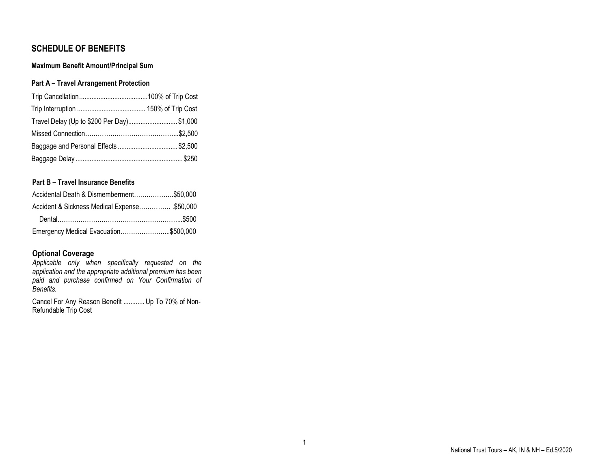# **SCHEDULE OF BENEFITS**

# **Maximum Benefit Amount/Principal Sum**

# **Part A – Travel Arrangement Protection**

| Travel Delay (Up to \$200 Per Day) \$1,000 |  |
|--------------------------------------------|--|
|                                            |  |
| Baggage and Personal Effects \$2,500       |  |
|                                            |  |

# **Part B – Travel Insurance Benefits**

| Accidental Death & Dismemberment\$50,000    |  |
|---------------------------------------------|--|
| Accident & Sickness Medical Expense\$50,000 |  |
|                                             |  |
| Emergency Medical Evacuation\$500,000       |  |

# **Optional Coverage**

*Applicable only when specifically requested on the application and the appropriate additional premium has been paid and purchase confirmed on Your Confirmation of Benefits.*

Cancel For Any Reason Benefit ............ Up To 70% of Non-Refundable Trip Cost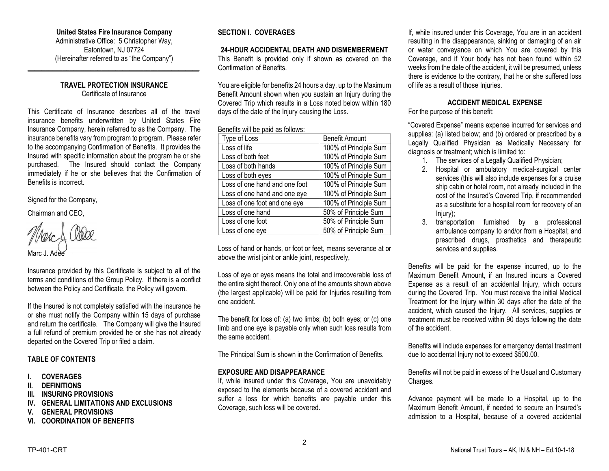#### **United States Fire Insurance Company**

Administrative Office: 5 Christopher Way, Eatontown, NJ 07724 (Hereinafter referred to as "the Company")

**\_\_\_\_\_\_\_\_\_\_\_\_\_\_\_\_\_\_\_\_\_\_\_\_\_\_\_\_\_\_\_\_\_\_\_\_\_\_\_\_\_\_\_\_\_\_\_\_\_**

## **TRAVEL PROTECTION INSURANCE** Certificate of Insurance

This Certificate of Insurance describes all of the travel insurance benefits underwritten by United States Fire Insurance Company, herein referred to as the Company. The insurance benefits vary from program to program. Please refer to the accompanying Confirmation of Benefits. It provides the Insured with specific information about the program he or she purchased. The Insured should contact the Company immediately if he or she believes that the Confirmation of Benefits is incorrect.

Signed for the Company,

Chairman and CEO,

Marc J. Adee

Insurance provided by this Certificate is subject to all of the terms and conditions of the Group Policy. If there is a conflict between the Policy and Certificate, the Policy will govern.

If the Insured is not completely satisfied with the insurance he or she must notify the Company within 15 days of purchase and return the certificate. The Company will give the Insured a full refund of premium provided he or she has not already departed on the Covered Trip or filed a claim.

## **TABLE OF CONTENTS**

- **I. COVERAGES**
- **II. DEFINITIONS**
- **III. INSURING PROVISIONS**
- **IV. GENERAL LIMITATIONS AND EXCLUSIONS**
- **V. GENERAL PROVISIONS**
- **VI. COORDINATION OF BENEFITS**

# **SECTION I. COVERAGES**

#### **24-HOUR ACCIDENTAL DEATH AND DISMEMBERMENT**

This Benefit is provided only if shown as covered on the Confirmation of Benefits.

You are eligible for benefits 24 hours a day, up to the Maximum Benefit Amount shown when you sustain an Injury during the Covered Trip which results in a Loss noted below within 180 days of the date of the Injury causing the Loss.

#### Benefits will be paid as follows:

| Type of Loss                  | <b>Benefit Amount</b> |
|-------------------------------|-----------------------|
| Loss of life                  | 100% of Principle Sum |
| Loss of both feet             | 100% of Principle Sum |
| Loss of both hands            | 100% of Principle Sum |
| Loss of both eyes             | 100% of Principle Sum |
| Loss of one hand and one foot | 100% of Principle Sum |
| Loss of one hand and one eye  | 100% of Principle Sum |
| Loss of one foot and one eye  | 100% of Principle Sum |
| Loss of one hand              | 50% of Principle Sum  |
| Loss of one foot              | 50% of Principle Sum  |
| Loss of one eye               | 50% of Principle Sum  |

Loss of hand or hands, or foot or feet, means severance at or above the wrist joint or ankle joint, respectively,

Loss of eye or eyes means the total and irrecoverable loss of the entire sight thereof. Only one of the amounts shown above (the largest applicable) will be paid for Injuries resulting from one accident.

The benefit for loss of: (a) two limbs; (b) both eyes; or (c) one limb and one eye is payable only when such loss results from the same accident.

The Principal Sum is shown in the Confirmation of Benefits.

## **EXPOSURE AND DISAPPEARANCE**

If, while insured under this Coverage, You are unavoidably exposed to the elements because of a covered accident and suffer a loss for which benefits are payable under this Coverage, such loss will be covered.

If, while insured under this Coverage, You are in an accident resulting in the disappearance, sinking or damaging of an air or water conveyance on which You are covered by this Coverage, and if Your body has not been found within 52 weeks from the date of the accident, it will be presumed, unless there is evidence to the contrary, that he or she suffered loss of life as a result of those Injuries.

# **ACCIDENT MEDICAL EXPENSE**

For the purpose of this benefit:

"Covered Expense" means expense incurred for services and supplies: (a) listed below; and (b) ordered or prescribed by a Legally Qualified Physician as Medically Necessary for diagnosis or treatment; which is limited to:

- 1. The services of a Legally Qualified Physician;
- 2. Hospital or ambulatory medical-surgical center services (this will also include expenses for a cruise ship cabin or hotel room, not already included in the cost of the Insured's Covered Trip, if recommended as a substitute for a hospital room for recovery of an Injury);
- 3. transportation furnished by a professional ambulance company to and/or from a Hospital; and prescribed drugs, prosthetics and therapeutic services and supplies.

Benefits will be paid for the expense incurred, up to the Maximum Benefit Amount, if an Insured incurs a Covered Expense as a result of an accidental Injury, which occurs during the Covered Trip. You must receive the initial Medical Treatment for the Injury within 30 days after the date of the accident, which caused the Injury. All services, supplies or treatment must be received within 90 days following the date of the accident.

Benefits will include expenses for emergency dental treatment due to accidental Injury not to exceed \$500.00.

Benefits will not be paid in excess of the Usual and Customary Charges.

Advance payment will be made to a Hospital, up to the Maximum Benefit Amount, if needed to secure an Insured's admission to a Hospital, because of a covered accidental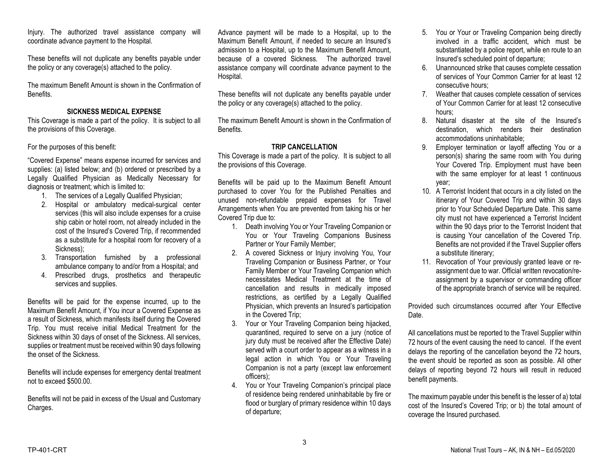Injury. The authorized travel assistance company will coordinate advance payment to the Hospital.

These benefits will not duplicate any benefits payable under the policy or any coverage(s) attached to the policy.

The maximum Benefit Amount is shown in the Confirmation of Benefits.

# **SICKNESS MEDICAL EXPENSE**

This Coverage is made a part of the policy. It is subject to all the provisions of this Coverage.

For the purposes of this benefit:

"Covered Expense" means expense incurred for services and supplies: (a) listed below; and (b) ordered or prescribed by a Legally Qualified Physician as Medically Necessary for diagnosis or treatment; which is limited to:

- 1. The services of a Legally Qualified Physician;
- 2. Hospital or ambulatory medical-surgical center services (this will also include expenses for a cruise ship cabin or hotel room, not already included in the cost of the Insured's Covered Trip, if recommended as a substitute for a hospital room for recovery of a Sickness);
- 3. Transportation furnished by a professional ambulance company to and/or from a Hospital; and
- 4. Prescribed drugs, prosthetics and therapeutic services and supplies.

Benefits will be paid for the expense incurred, up to the Maximum Benefit Amount, if You incur a Covered Expense as a result of Sickness, which manifests itself during the Covered Trip. You must receive initial Medical Treatment for the Sickness within 30 days of onset of the Sickness. All services, supplies or treatment must be received within 90 days following the onset of the Sickness.

Benefits will include expenses for emergency dental treatment not to exceed \$500.00.

Benefits will not be paid in excess of the Usual and Customary Charges.

Advance payment will be made to a Hospital, up to the Maximum Benefit Amount, if needed to secure an Insured's admission to a Hospital, up to the Maximum Benefit Amount, because of a covered Sickness. The authorized travel assistance company will coordinate advance payment to the Hospital.

These benefits will not duplicate any benefits payable under the policy or any coverage(s) attached to the policy.

The maximum Benefit Amount is shown in the Confirmation of Benefits.

## **TRIP CANCELLATION**

This Coverage is made a part of the policy. It is subject to all the provisions of this Coverage.

Benefits will be paid up to the Maximum Benefit Amount purchased to cover You for the Published Penalties and unused non-refundable prepaid expenses for Travel Arrangements when You are prevented from taking his or her Covered Trip due to:

- 1. Death involving You or Your Traveling Companion or You or Your Traveling Companions Business Partner or Your Family Member;
- 2. A covered Sickness or Injury involving You, Your Traveling Companion or Business Partner, or Your Family Member or Your Traveling Companion which necessitates Medical Treatment at the time of cancellation and results in medically imposed restrictions, as certified by a Legally Qualified Physician, which prevents an Insured's participation in the Covered Trip;
- 3. Your or Your Traveling Companion being hijacked, quarantined, required to serve on a jury (notice of jury duty must be received after the Effective Date) served with a court order to appear as a witness in a legal action in which You or Your Traveling Companion is not a party (except law enforcement officers);
- 4. You or Your Traveling Companion's principal place of residence being rendered uninhabitable by fire or flood or burglary of primary residence within 10 days of departure;
- 5. You or Your or Traveling Companion being directly involved in a traffic accident, which must be substantiated by a police report, while en route to an Insured's scheduled point of departure;
- 6. Unannounced strike that causes complete cessation of services of Your Common Carrier for at least 12 consecutive hours;
- 7. Weather that causes complete cessation of services of Your Common Carrier for at least 12 consecutive hours;
- 8. Natural disaster at the site of the Insured's destination, which renders their destination accommodations uninhabitable;
- 9. Employer termination or layoff affecting You or a person(s) sharing the same room with You during Your Covered Trip. Employment must have been with the same employer for at least 1 continuous year;
- 10. A Terrorist Incident that occurs in a city listed on the itinerary of Your Covered Trip and within 30 days prior to Your Scheduled Departure Date. This same city must not have experienced a Terrorist Incident within the 90 days prior to the Terrorist Incident that is causing Your cancellation of the Covered Trip. Benefits are not provided if the Travel Supplier offers a substitute itinerary;
- 11. Revocation of Your previously granted leave or reassignment due to war. Official written revocation/reassignment by a supervisor or commanding officer of the appropriate branch of service will be required.

Provided such circumstances occurred after Your Effective Date.

All cancellations must be reported to the Travel Supplier within 72 hours of the event causing the need to cancel. If the event delays the reporting of the cancellation beyond the 72 hours, the event should be reported as soon as possible. All other delays of reporting beyond 72 hours will result in reduced benefit payments.

The maximum payable under this benefit is the lesser of a) total cost of the Insured's Covered Trip; or b) the total amount of coverage the Insured purchased.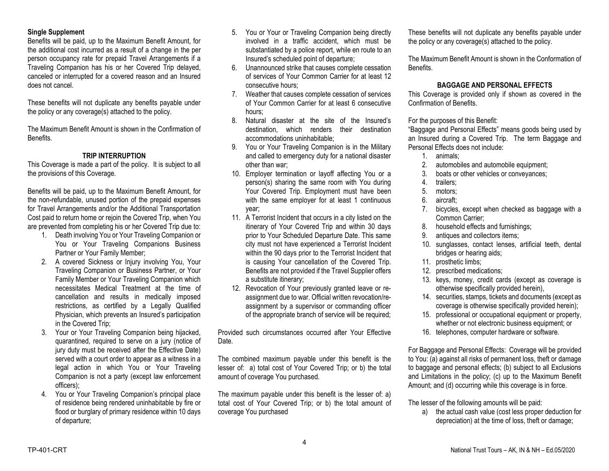#### **Single Supplement**

Benefits will be paid, up to the Maximum Benefit Amount, for the additional cost incurred as a result of a change in the per person occupancy rate for prepaid Travel Arrangements if a Traveling Companion has his or her Covered Trip delayed, canceled or interrupted for a covered reason and an Insured does not cancel.

These benefits will not duplicate any benefits payable under the policy or any coverage(s) attached to the policy.

The Maximum Benefit Amount is shown in the Confirmation of Benefits.

# **TRIP INTERRUPTION**

This Coverage is made a part of the policy. It is subject to all the provisions of this Coverage.

Benefits will be paid, up to the Maximum Benefit Amount, for the non-refundable, unused portion of the prepaid expenses for Travel Arrangements and/or the Additional Transportation Cost paid to return home or rejoin the Covered Trip, when You are prevented from completing his or her Covered Trip due to:

- 1. Death involving You or Your Traveling Companion or You or Your Traveling Companions Business Partner or Your Family Member;
- 2. A covered Sickness or Injury involving You, Your Traveling Companion or Business Partner, or Your Family Member or Your Traveling Companion which necessitates Medical Treatment at the time of cancellation and results in medically imposed restrictions, as certified by a Legally Qualified Physician, which prevents an Insured's participation in the Covered Trip;
- 3. Your or Your Traveling Companion being hijacked, quarantined, required to serve on a jury (notice of jury duty must be received after the Effective Date) served with a court order to appear as a witness in a legal action in which You or Your Traveling Companion is not a party (except law enforcement officers);
- 4. You or Your Traveling Companion's principal place of residence being rendered uninhabitable by fire or flood or burglary of primary residence within 10 days of departure;
- 5. You or Your or Traveling Companion being directly involved in a traffic accident, which must be substantiated by a police report, while en route to an Insured's scheduled point of departure;
- 6. Unannounced strike that causes complete cessation of services of Your Common Carrier for at least 12 consecutive hours;
- 7. Weather that causes complete cessation of services of Your Common Carrier for at least 6 consecutive hours;
- 8. Natural disaster at the site of the Insured's destination, which renders their destination accommodations uninhabitable;
- 9. You or Your Traveling Companion is in the Military and called to emergency duty for a national disaster other than war;
- 10. Employer termination or layoff affecting You or a person(s) sharing the same room with You during Your Covered Trip. Employment must have been with the same employer for at least 1 continuous year;
- 11. A Terrorist Incident that occurs in a city listed on the itinerary of Your Covered Trip and within 30 days prior to Your Scheduled Departure Date. This same city must not have experienced a Terrorist Incident within the 90 days prior to the Terrorist Incident that is causing Your cancellation of the Covered Trip. Benefits are not provided if the Travel Supplier offers a substitute itinerary;
- 12. Revocation of Your previously granted leave or reassignment due to war. Official written revocation/reassignment by a supervisor or commanding officer of the appropriate branch of service will be required;

Provided such circumstances occurred after Your Effective Date.

The combined maximum payable under this benefit is the lesser of: a) total cost of Your Covered Trip; or b) the total amount of coverage You purchased.

The maximum payable under this benefit is the lesser of: a) total cost of Your Covered Trip; or b) the total amount of coverage You purchased

These benefits will not duplicate any benefits payable under the policy or any coverage(s) attached to the policy.

The Maximum Benefit Amount is shown in the Conformation of Benefits.

# **BAGGAGE AND PERSONAL EFFECTS**

This Coverage is provided only if shown as covered in the Confirmation of Benefits.

For the purposes of this Benefit:

"Baggage and Personal Effects" means goods being used by an Insured during a Covered Trip. The term Baggage and Personal Effects does not include:

- 1. animals;
- 2. automobiles and automobile equipment;
- 3. boats or other vehicles or conveyances;
- 4. trailers;
- 5. motors;
- 6. aircraft;
- 7. bicycles, except when checked as baggage with a Common Carrier;
- 8. household effects and furnishings;
- 9. antiques and collectors items;
- 10. sunglasses, contact lenses, artificial teeth, dental bridges or hearing aids;
- 11. prosthetic limbs;
- 12. prescribed medications;
- 13. keys, money, credit cards (except as coverage is otherwise specifically provided herein),
- 14. securities, stamps, tickets and documents (except as coverage is otherwise specifically provided herein);
- 15. professional or occupational equipment or property, whether or not electronic business equipment; or
- 16. telephones, computer hardware or software.

For Baggage and Personal Effects: Coverage will be provided to You: (a) against all risks of permanent loss, theft or damage to baggage and personal effects; (b) subject to all Exclusions and Limitations in the policy; (c) up to the Maximum Benefit Amount; and (d) occurring while this coverage is in force.

The lesser of the following amounts will be paid:

a) the actual cash value (cost less proper deduction for depreciation) at the time of loss, theft or damage;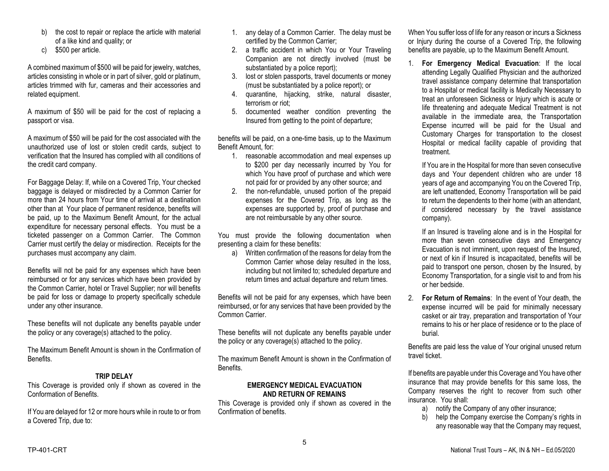- b) the cost to repair or replace the article with material of a like kind and quality; or
- c) \$500 per article.

A combined maximum of \$500 will be paid for jewelry, watches, articles consisting in whole or in part of silver, gold or platinum, articles trimmed with fur, cameras and their accessories and related equipment.

A maximum of \$50 will be paid for the cost of replacing a passport or visa.

A maximum of \$50 will be paid for the cost associated with the unauthorized use of lost or stolen credit cards, subject to verification that the Insured has complied with all conditions of the credit card company.

For Baggage Delay: If, while on a Covered Trip, Your checked baggage is delayed or misdirected by a Common Carrier for more than 24 hours from Your time of arrival at a destination other than at Your place of permanent residence, benefits will be paid, up to the Maximum Benefit Amount, for the actual expenditure for necessary personal effects. You must be a ticketed passenger on a Common Carrier. The Common Carrier must certify the delay or misdirection. Receipts for the purchases must accompany any claim.

Benefits will not be paid for any expenses which have been reimbursed or for any services which have been provided by the Common Carrier, hotel or Travel Supplier; nor will benefits be paid for loss or damage to property specifically schedule under any other insurance.

These benefits will not duplicate any benefits payable under the policy or any coverage(s) attached to the policy.

The Maximum Benefit Amount is shown in the Confirmation of Benefits.

# **TRIP DELAY**

This Coverage is provided only if shown as covered in the Conformation of Benefits.

If You are delayed for 12 or more hours while in route to or from a Covered Trip, due to:

- 1. any delay of a Common Carrier. The delay must be certified by the Common Carrier;
- 2. a traffic accident in which You or Your Traveling Companion are not directly involved (must be substantiated by a police report);
- 3. lost or stolen passports, travel documents or money (must be substantiated by a police report); or
- 4. quarantine, hijacking, strike, natural disaster, terrorism or riot;
- 5. documented weather condition preventing the Insured from getting to the point of departure;

benefits will be paid, on a one-time basis, up to the Maximum Benefit Amount, for:

- 1. reasonable accommodation and meal expenses up to \$200 per day necessarily incurred by You for which You have proof of purchase and which were not paid for or provided by any other source; and
- 2. the non-refundable, unused portion of the prepaid expenses for the Covered Trip, as long as the expenses are supported by, proof of purchase and are not reimbursable by any other source.

You must provide the following documentation when presenting a claim for these benefits:

a) Written confirmation of the reasons for delay from the Common Carrier whose delay resulted in the loss, including but not limited to; scheduled departure and return times and actual departure and return times.

Benefits will not be paid for any expenses, which have been reimbursed, or for any services that have been provided by the Common Carrier.

These benefits will not duplicate any benefits payable under the policy or any coverage(s) attached to the policy.

The maximum Benefit Amount is shown in the Confirmation of Benefits.

## **EMERGENCY MEDICAL EVACUATION AND RETURN OF REMAINS**

This Coverage is provided only if shown as covered in the Confirmation of benefits.

When You suffer loss of life for any reason or incurs a Sickness or Injury during the course of a Covered Trip, the following benefits are payable, up to the Maximum Benefit Amount.

1. **For Emergency Medical Evacuation**: If the local attending Legally Qualified Physician and the authorized travel assistance company determine that transportation to a Hospital or medical facility is Medically Necessary to treat an unforeseen Sickness or Injury which is acute or life threatening and adequate Medical Treatment is not available in the immediate area, the Transportation Expense incurred will be paid for the Usual and Customary Charges for transportation to the closest Hospital or medical facility capable of providing that treatment.

If You are in the Hospital for more than seven consecutive days and Your dependent children who are under 18 years of age and accompanying You on the Covered Trip, are left unattended, Economy Transportation will be paid to return the dependents to their home (with an attendant, if considered necessary by the travel assistance company).

If an Insured is traveling alone and is in the Hospital for more than seven consecutive days and Emergency Evacuation is not imminent, upon request of the Insured, or next of kin if Insured is incapacitated, benefits will be paid to transport one person, chosen by the Insured, by Economy Transportation, for a single visit to and from his or her bedside.

2. **For Return of Remains**: In the event of Your death, the expense incurred will be paid for minimally necessary casket or air tray, preparation and transportation of Your remains to his or her place of residence or to the place of burial.

Benefits are paid less the value of Your original unused return travel ticket.

If benefits are payable under this Coverage and You have other insurance that may provide benefits for this same loss, the Company reserves the right to recover from such other insurance. You shall:

- a) notify the Company of any other insurance;
- b) help the Company exercise the Company's rights in any reasonable way that the Company may request,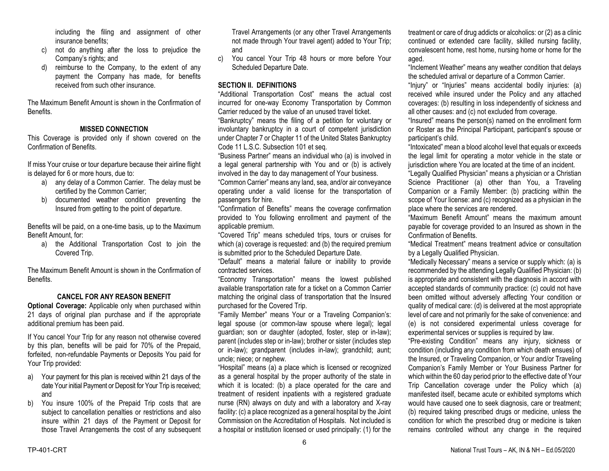including the filing and assignment of other insurance benefits;

- c) not do anything after the loss to prejudice the Company's rights; and
- d) reimburse to the Company, to the extent of any payment the Company has made, for benefits received from such other insurance.

The Maximum Benefit Amount is shown in the Confirmation of Benefits.

#### **MISSED CONNECTION**

This Coverage is provided only if shown covered on the Confirmation of Benefits.

If miss Your cruise or tour departure because their airline flight is delayed for 6 or more hours, due to:

- a) any delay of a Common Carrier. The delay must be certified by the Common Carrier;
- b) documented weather condition preventing the Insured from getting to the point of departure.

Benefits will be paid, on a one-time basis, up to the Maximum Benefit Amount, for:

a) the Additional Transportation Cost to join the Covered Trip.

The Maximum Benefit Amount is shown in the Confirmation of Benefits.

#### **CANCEL FOR ANY REASON BENEFIT**

**Optional Coverage:** Applicable only when purchased within 21 days of original plan purchase and if the appropriate additional premium has been paid.

If You cancel Your Trip for any reason not otherwise covered by this plan, benefits will be paid for 70% of the Prepaid, forfeited, non-refundable Payments or Deposits You paid for Your Trip provided:

- a) Your payment for this plan is received within 21 days of the date Your initial Payment or Deposit for Your Trip is received; and
- b) You insure 100% of the Prepaid Trip costs that are subject to cancellation penalties or restrictions and also insure within 21 days of the Payment or Deposit for those Travel Arrangements the cost of any subsequent

Travel Arrangements (or any other Travel Arrangements not made through Your travel agent) added to Your Trip; and

c) You cancel Your Trip 48 hours or more before Your Scheduled Departure Date.

#### **SECTION II. DEFINITIONS**

"Additional Transportation Cost" means the actual cost incurred for one-way Economy Transportation by Common Carrier reduced by the value of an unused travel ticket.

"Bankruptcy" means the filing of a petition for voluntary or involuntary bankruptcy in a court of competent jurisdiction under Chapter 7 or Chapter 11 of the United States Bankruptcy Code 11 L.S.C. Subsection 101 et seq.

"Business Partner" means an individual who (a) is involved in a legal general partnership with You and or (b) is actively involved in the day to day management of Your business.

"Common Carrier" means any land, sea, and/or air conveyance operating under a valid license for the transportation of passengers for hire.

"Confirmation of Benefits" means the coverage confirmation provided to You following enrollment and payment of the applicable premium.

"Covered Trip" means scheduled trips, tours or cruises for which (a) coverage is requested: and (b) the required premium is submitted prior to the Scheduled Departure Date.

"Default" means a material failure or inability to provide contracted services.

"Economy Transportation" means the lowest published available transportation rate for a ticket on a Common Carrier matching the original class of transportation that the Insured purchased for the Covered Trip.

"Family Member" means Your or a Traveling Companion's: legal spouse (or common-law spouse where legal); legal guardian; son or daughter (adopted, foster, step or in-law); parent (includes step or in-law); brother or sister (includes step or in-law); grandparent (includes in-law); grandchild; aunt; uncle; niece; or nephew.

"Hospital" means (a) a place which is licensed or recognized as a general hospital by the proper authority of the state in which it is located: (b) a place operated for the care and treatment of resident inpatients with a registered graduate nurse (RN) always on duty and with a laboratory and X-ray facility: (c) a place recognized as a general hospital by the Joint Commission on the Accreditation of Hospitals. Not included is a hospital or institution licensed or used principally: (1) for the

treatment or care of drug addicts or alcoholics: or (2) as a clinic continued or extended care facility, skilled nursing facility, convalescent home, rest home, nursing home or home for the aged.

"Inclement Weather" means any weather condition that delays the scheduled arrival or departure of a Common Carrier.

"Injury" or "Injuries" means accidental bodily injuries: (a) received while insured under the Policy and any attached coverages: (b) resulting in loss independently of sickness and all other causes: and (c) not excluded from coverage.

"Insured" means the person(s) named on the enrollment form or Roster as the Principal Participant, participant's spouse or participant's child.

"Intoxicated" mean a blood alcohol level that equals or exceeds the legal limit for operating a motor vehicle in the state or jurisdiction where You are located at the time of an incident.

"Legally Qualified Physician" means a physician or a Christian Science Practitioner (a) other than You, a Traveling Companion or a Family Member: (b) practicing within the scope of Your license: and (c) recognized as a physician in the place where the services are rendered.

"Maximum Benefit Amount" means the maximum amount payable for coverage provided to an Insured as shown in the Confirmation of Benefits.

"Medical Treatment" means treatment advice or consultation by a Legally Qualified Physician.

"Medically Necessary" means a service or supply which: (a) is recommended by the attending Legally Qualified Physician: (b) is appropriate and consistent with the diagnosis in accord with accepted standards of community practice: (c) could not have been omitted without adversely affecting Your condition or quality of medical care: (d) is delivered at the most appropriate level of care and not primarily for the sake of convenience: and (e) is not considered experimental unless coverage for experimental services or supplies is required by law.

"Pre-existing Condition" means any injury, sickness or condition (including any condition from which death ensues) of the Insured, or Traveling Companion, or Your and/or Traveling Companion's Family Member or Your Business Partner for which within the 60 day period prior to the effective date of Your Trip Cancellation coverage under the Policy which (a) manifested itself, became acute or exhibited symptoms which would have caused one to seek diagnosis, care or treatment; (b) required taking prescribed drugs or medicine, unless the condition for which the prescribed drug or medicine is taken remains controlled without any change in the required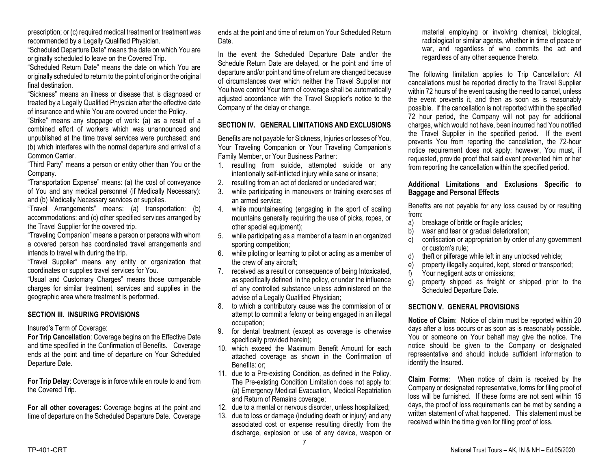prescription; or (c) required medical treatment or treatment was recommended by a Legally Qualified Physician.

"Scheduled Departure Date" means the date on which You are originally scheduled to leave on the Covered Trip.

"Scheduled Return Date" means the date on which You are originally scheduled to return to the point of origin or the original final destination.

"Sickness" means an illness or disease that is diagnosed or treated by a Legally Qualified Physician after the effective date of insurance and while You are covered under the Policy.

"Strike" means any stoppage of work: (a) as a result of a combined effort of workers which was unannounced and unpublished at the time travel services were purchased: and (b) which interferes with the normal departure and arrival of a Common Carrier.

"Third Party" means a person or entity other than You or the Company.

"Transportation Expense" means: (a) the cost of conveyance of You and any medical personnel (if Medically Necessary): and (b) Medically Necessary services or supplies.

"Travel Arrangements" means: (a) transportation: (b) accommodations: and (c) other specified services arranged by the Travel Supplier for the covered trip.

"Traveling Companion" means a person or persons with whom a covered person has coordinated travel arrangements and intends to travel with during the trip.

"Travel Supplier" means any entity or organization that coordinates or supplies travel services for You.

"Usual and Customary Charges" means those comparable charges for similar treatment, services and supplies in the geographic area where treatment is performed.

## **SECTION III. INSURING PROVISIONS**

Insured's Term of Coverage:

**For Trip Cancellation**: Coverage begins on the Effective Date and time specified in the Confirmation of Benefits. Coverage ends at the point and time of departure on Your Scheduled Departure Date.

**For Trip Delay**: Coverage is in force while en route to and from the Covered Trip.

**For all other coverages**: Coverage begins at the point and time of departure on the Scheduled Departure Date. Coverage

ends at the point and time of return on Your Scheduled Return Date.

In the event the Scheduled Departure Date and/or the Schedule Return Date are delayed, or the point and time of departure and/or point and time of return are changed because of circumstances over which neither the Travel Supplier nor You have control Your term of coverage shall be automatically adjusted accordance with the Travel Supplier's notice to the Company of the delay or change.

#### **SECTION IV. GENERAL LIMITATIONS AND EXCLUSIONS**

Benefits are not payable for Sickness, Injuries or losses of You, Your Traveling Companion or Your Traveling Companion's Family Member, or Your Business Partner:

- 1. resulting from suicide, attempted suicide or any intentionally self-inflicted injury while sane or insane;
- 2. resulting from an act of declared or undeclared war;
- 3. while participating in maneuvers or training exercises of an armed service;
- 4. while mountaineering (engaging in the sport of scaling mountains generally requiring the use of picks, ropes, or other special equipment);
- 5. while participating as a member of a team in an organized sporting competition;
- 6. while piloting or learning to pilot or acting as a member of the crew of any aircraft;
- 7. received as a result or consequence of being Intoxicated, as specifically defined in the policy, or under the influence of any controlled substance unless administered on the advise of a Legally Qualified Physician;
- 8. to which a contributory cause was the commission of or attempt to commit a felony or being engaged in an illegal occupation;
- 9. for dental treatment (except as coverage is otherwise specifically provided herein);
- 10. which exceed the Maximum Benefit Amount for each attached coverage as shown in the Confirmation of Benefits: or;
- 11. due to a Pre-existing Condition, as defined in the Policy. The Pre-existing Condition Limitation does not apply to: (a) Emergency Medical Evacuation, Medical Repatriation and Return of Remains coverage;
- 12. due to a mental or nervous disorder, unless hospitalized;
- 13. due to loss or damage (including death or injury) and any associated cost or expense resulting directly from the discharge, explosion or use of any device, weapon or

material employing or involving chemical, biological, radiological or similar agents, whether in time of peace or war, and regardless of who commits the act and regardless of any other sequence thereto.

The following limitation applies to Trip Cancellation: All cancellations must be reported directly to the Travel Supplier within 72 hours of the event causing the need to cancel, unless the event prevents it, and then as soon as is reasonably possible. If the cancellation is not reported within the specified 72 hour period, the Company will not pay for additional charges, which would not have, been incurred had You notified the Travel Supplier in the specified period. If the event prevents You from reporting the cancellation, the 72-hour notice requirement does not apply; however, You must, if requested, provide proof that said event prevented him or her from reporting the cancellation within the specified period.

## **Additional Limitations and Exclusions Specific to Baggage and Personal Effects**

Benefits are not payable for any loss caused by or resulting from:

- a) breakage of brittle or fragile articles;
- b) wear and tear or gradual deterioration:
- c) confiscation or appropriation by order of any government or custom's rule;
- d) theft or pilferage while left in any unlocked vehicle;
- e) property illegally acquired, kept, stored or transported;
- f) Your negligent acts or omissions;
- g) property shipped as freight or shipped prior to the Scheduled Departure Date.

## **SECTION V. GENERAL PROVISIONS**

**Notice of Claim**: Notice of claim must be reported within 20 days after a loss occurs or as soon as is reasonably possible. You or someone on Your behalf may give the notice. The notice should be given to the Company or designated representative and should include sufficient information to identify the Insured.

**Claim Forms**: When notice of claim is received by the Company or designated representative, forms for filing proof of loss will be furnished. If these forms are not sent within 15 days, the proof of loss requirements can be met by sending a written statement of what happened. This statement must be received within the time given for filing proof of loss.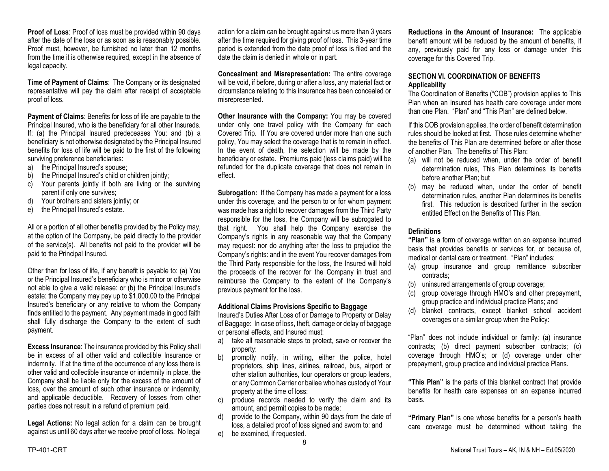**Proof of Loss:** Proof of loss must be provided within 90 days after the date of the loss or as soon as is reasonably possible. Proof must, however, be furnished no later than 12 months from the time it is otherwise required, except in the absence of legal capacity.

**Time of Payment of Claims**: The Company or its designated representative will pay the claim after receipt of acceptable proof of loss.

**Payment of Claims**: Benefits for loss of life are payable to the Principal Insured, who is the beneficiary for all other Insureds. If: (a) the Principal Insured predeceases You: and (b) a beneficiary is not otherwise designated by the Principal Insured benefits for loss of life will be paid to the first of the following surviving preference beneficiaries:

- a) the Principal Insured's spouse;
- b) the Principal Insured's child or children jointly;
- c) Your parents jointly if both are living or the surviving parent if only one survives;
- d) Your brothers and sisters jointly; or
- e) the Principal Insured's estate.

All or a portion of all other benefits provided by the Policy may, at the option of the Company, be paid directly to the provider of the service(s). All benefits not paid to the provider will be paid to the Principal Insured.

Other than for loss of life, if any benefit is payable to: (a) You or the Principal Insured's beneficiary who is minor or otherwise not able to give a valid release: or (b) the Principal Insured's estate: the Company may pay up to \$1,000.00 to the Principal Insured's beneficiary or any relative to whom the Company finds entitled to the payment. Any payment made in good faith shall fully discharge the Company to the extent of such payment.

**Excess Insurance**: The insurance provided by this Policy shall be in excess of all other valid and collectible Insurance or indemnity. If at the time of the occurrence of any loss there is other valid and collectible insurance or indemnity in place, the Company shall be liable only for the excess of the amount of loss, over the amount of such other insurance or indemnity, and applicable deductible. Recovery of losses from other parties does not result in a refund of premium paid.

**Legal Actions:** No legal action for a claim can be brought against us until 60 days after we receive proof of loss. No legal

action for a claim can be brought against us more than 3 years after the time required for giving proof of loss. This 3-year time period is extended from the date proof of loss is filed and the date the claim is denied in whole or in part.

**Concealment and Misrepresentation:** The entire coverage will be void, if before, during or after a loss, any material fact or circumstance relating to this insurance has been concealed or misrepresented.

**Other Insurance with the Company:** You may be covered under only one travel policy with the Company for each Covered Trip. If You are covered under more than one such policy, You may select the coverage that is to remain in effect. In the event of death, the selection will be made by the beneficiary or estate. Premiums paid (less claims paid) will be refunded for the duplicate coverage that does not remain in effect.

**Subrogation:** If the Company has made a payment for a loss under this coverage, and the person to or for whom payment was made has a right to recover damages from the Third Party responsible for the loss, the Company will be subrogated to that right. You shall help the Company exercise the Company's rights in any reasonable way that the Company may request: nor do anything after the loss to prejudice the Company's rights: and in the event You recover damages from the Third Party responsible for the loss, the Insured will hold the proceeds of the recover for the Company in trust and reimburse the Company to the extent of the Company's previous payment for the loss.

#### **Additional Claims Provisions Specific to Baggage**

Insured's Duties After Loss of or Damage to Property or Delay of Baggage: In case of loss, theft, damage or delay of baggage or personal effects, and Insured must:

- a) take all reasonable steps to protect, save or recover the property:
- b) promptly notify, in writing, either the police, hotel proprietors, ship lines, airlines, railroad, bus, airport or other station authorities, tour operators or group leaders, or any Common Carrier or bailee who has custody of Your property at the time of loss:
- c) produce records needed to verify the claim and its amount, and permit copies to be made:
- d) provide to the Company, within 90 days from the date of loss, a detailed proof of loss signed and sworn to: and
- e) be examined, if requested.

**Reductions in the Amount of Insurance:** The applicable benefit amount will be reduced by the amount of benefits, if any, previously paid for any loss or damage under this coverage for this Covered Trip.

## **SECTION VI. COORDINATION OF BENEFITS Applicability**

The Coordination of Benefits ("COB") provision applies to This Plan when an Insured has health care coverage under more than one Plan. "Plan" and "This Plan" are defined below.

If this COB provision applies, the order of benefit determination rules should be looked at first. Those rules determine whether the benefits of This Plan are determined before or after those of another Plan. The benefits of This Plan:

- (a) will not be reduced when, under the order of benefit determination rules, This Plan determines its benefits before another Plan; but
- (b) may be reduced when, under the order of benefit determination rules, another Plan determines its benefits first. This reduction is described further in the section entitled Effect on the Benefits of This Plan.

#### **Definitions**

**"Plan"** is a form of coverage written on an expense incurred basis that provides benefits or services for, or because of, medical or dental care or treatment. "Plan" includes:

- (a) group insurance and group remittance subscriber contracts;
- (b) uninsured arrangements of group coverage;
- (c) group coverage through HMO's and other prepayment, group practice and individual practice Plans; and
- (d) blanket contracts, except blanket school accident coverages or a similar group when the Policy:

"Plan" does not include individual or family: (a) insurance contracts; (b) direct payment subscriber contracts; (c) coverage through HMO's; or (d) coverage under other prepayment, group practice and individual practice Plans.

**"This Plan"** is the parts of this blanket contract that provide benefits for health care expenses on an expense incurred basis.

**"Primary Plan"** is one whose benefits for a person's health care coverage must be determined without taking the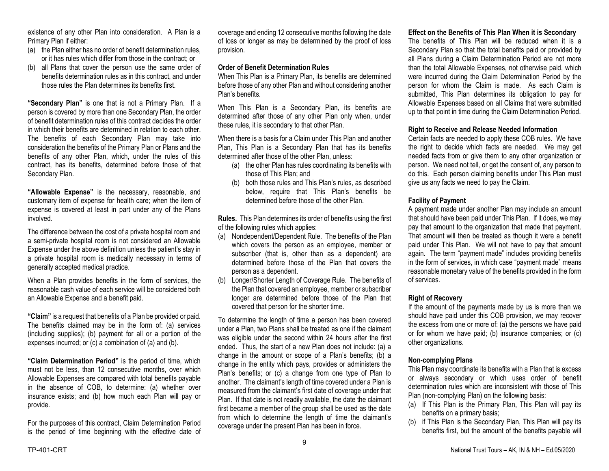existence of any other Plan into consideration. A Plan is a Primary Plan if either:

- (a) the Plan either has no order of benefit determination rules, or it has rules which differ from those in the contract; or
- (b) all Plans that cover the person use the same order of benefits determination rules as in this contract, and under those rules the Plan determines its benefits first.

**"Secondary Plan"** is one that is not a Primary Plan. If a person is covered by more than one Secondary Plan, the order of benefit determination rules of this contract decides the order in which their benefits are determined in relation to each other. The benefits of each Secondary Plan may take into consideration the benefits of the Primary Plan or Plans and the benefits of any other Plan, which, under the rules of this contract, has its benefits, determined before those of that Secondary Plan.

**"Allowable Expense"** is the necessary, reasonable, and customary item of expense for health care; when the item of expense is covered at least in part under any of the Plans involved.

The difference between the cost of a private hospital room and a semi-private hospital room is not considered an Allowable Expense under the above definition unless the patient's stay in a private hospital room is medically necessary in terms of generally accepted medical practice.

When a Plan provides benefits in the form of services, the reasonable cash value of each service will be considered both an Allowable Expense and a benefit paid.

**"Claim"** is a request that benefits of a Plan be provided or paid. The benefits claimed may be in the form of: (a) services (including supplies); (b) payment for all or a portion of the expenses incurred; or (c) a combination of (a) and (b).

**"Claim Determination Period"** is the period of time, which must not be less, than 12 consecutive months, over which Allowable Expenses are compared with total benefits payable in the absence of COB, to determine: (a) whether over insurance exists; and (b) how much each Plan will pay or provide.

For the purposes of this contract, Claim Determination Period is the period of time beginning with the effective date of coverage and ending 12 consecutive months following the date of loss or longer as may be determined by the proof of loss provision.

#### **Order of Benefit Determination Rules**

When This Plan is a Primary Plan, its benefits are determined before those of any other Plan and without considering another Plan's benefits.

When This Plan is a Secondary Plan, its benefits are determined after those of any other Plan only when, under these rules, it is secondary to that other Plan.

When there is a basis for a Claim under This Plan and another Plan, This Plan is a Secondary Plan that has its benefits determined after those of the other Plan, unless:

- (a) the other Plan has rules coordinating its benefits with those of This Plan; and
- (b) both those rules and This Plan's rules, as described below, require that This Plan's benefits be determined before those of the other Plan.

**Rules.** This Plan determines its order of benefits using the first of the following rules which applies:

- (a) Nondependent/Dependent Rule. The benefits of the Plan which covers the person as an employee, member or subscriber (that is, other than as a dependent) are determined before those of the Plan that covers the person as a dependent.
- (b) Longer/Shorter Length of Coverage Rule. The benefits of the Plan that covered an employee, member or subscriber longer are determined before those of the Plan that covered that person for the shorter time.

To determine the length of time a person has been covered under a Plan, two Plans shall be treated as one if the claimant was eligible under the second within 24 hours after the first ended. Thus, the start of a new Plan does not include: (a) a change in the amount or scope of a Plan's benefits; (b) a change in the entity which pays, provides or administers the Plan's benefits; or (c) a change from one type of Plan to another. The claimant's length of time covered under a Plan is measured from the claimant's first date of coverage under that Plan. If that date is not readily available, the date the claimant first became a member of the group shall be used as the date from which to determine the length of time the claimant's coverage under the present Plan has been in force.

# **Effect on the Benefits of This Plan When it is Secondary**

The benefits of This Plan will be reduced when it is a Secondary Plan so that the total benefits paid or provided by all Plans during a Claim Determination Period are not more than the total Allowable Expenses, not otherwise paid, which were incurred during the Claim Determination Period by the person for whom the Claim is made. As each Claim is submitted, This Plan determines its obligation to pay for Allowable Expenses based on all Claims that were submitted up to that point in time during the Claim Determination Period.

#### **Right to Receive and Release Needed Information**

Certain facts are needed to apply these COB rules. We have the right to decide which facts are needed. We may get needed facts from or give them to any other organization or person. We need not tell, or get the consent of, any person to do this. Each person claiming benefits under This Plan must give us any facts we need to pay the Claim.

#### **Facility of Payment**

A payment made under another Plan may include an amount that should have been paid under This Plan. If it does, we may pay that amount to the organization that made that payment. That amount will then be treated as though it were a benefit paid under This Plan. We will not have to pay that amount again. The term "payment made" includes providing benefits in the form of services, in which case "payment made" means reasonable monetary value of the benefits provided in the form of services.

## **Right of Recovery**

If the amount of the payments made by us is more than we should have paid under this COB provision, we may recover the excess from one or more of: (a) the persons we have paid or for whom we have paid; (b) insurance companies; or (c) other organizations.

## **Non-complying Plans**

This Plan may coordinate its benefits with a Plan that is excess or always secondary or which uses order of benefit determination rules which are inconsistent with those of This Plan (non-complying Plan) on the following basis:

- (a) If This Plan is the Primary Plan, This Plan will pay its benefits on a primary basis;
- (b) if This Plan is the Secondary Plan, This Plan will pay its benefits first, but the amount of the benefits payable will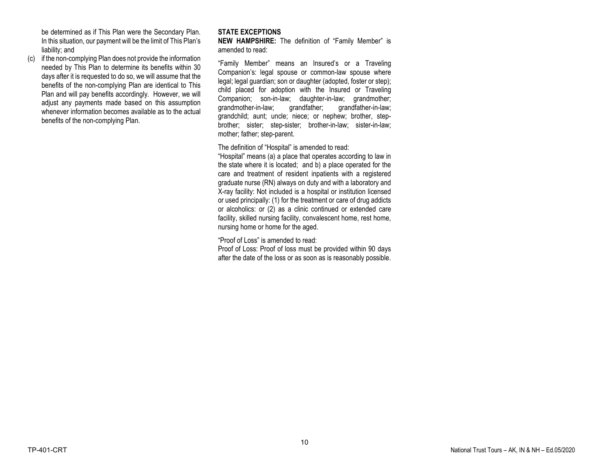be determined as if This Plan were the Secondary Plan. In this situation, our payment will be the limit of This Plan's liability; and

(c) if the non-complying Plan does not provide the information needed by This Plan to determine its benefits within 30 days after it is requested to do so, we will assume that the benefits of the non-complying Plan are identical to This Plan and will pay benefits accordingly. However, we will adjust any payments made based on this assumption whenever information becomes available as to the actual benefits of the non-complying Plan.

# **STATE EXCEPTIONS**

**NEW HAMPSHIRE:** The definition of "Family Member" is amended to read:

"Family Member" means an Insured's or a Traveling Companion's: legal spouse or common-law spouse where legal; legal guardian; son or daughter (adopted, foster or step); child placed for adoption with the Insured or Traveling Companion; son-in-law; daughter-in-law; grandmother; grandmother-in-law; grandfather; grandfather-in-law; grandchild; aunt; uncle; niece; or nephew; brother, stepbrother; sister; step-sister; brother-in-law; sister-in-law; mother; father; step-parent.

The definition of "Hospital" is amended to read:

"Hospital" means (a) a place that operates according to law in the state where it is located; and b) a place operated for the care and treatment of resident inpatients with a registered graduate nurse (RN) always on duty and with a laboratory and X-ray facility: Not included is a hospital or institution licensed or used principally: (1) for the treatment or care of drug addicts or alcoholics: or (2) as a clinic continued or extended care facility, skilled nursing facility, convalescent home, rest home, nursing home or home for the aged.

"Proof of Loss" is amended to read:

Proof of Loss: Proof of loss must be provided within 90 days after the date of the loss or as soon as is reasonably possible.